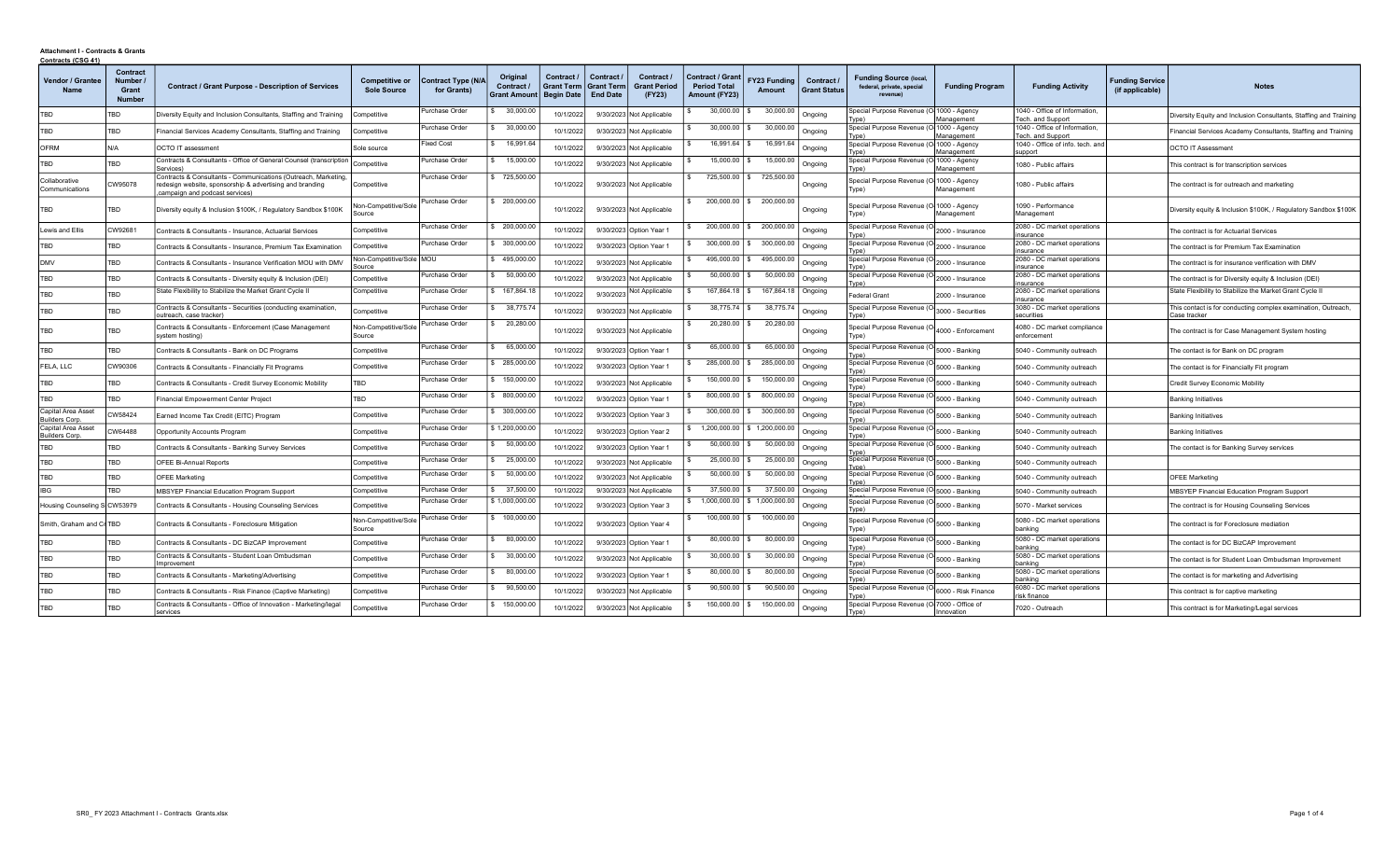## Attachment I - Contracts & Grants Contracts (CSG 41)

| <b>Contracts (CSG 41)</b>                   |                                                     |                                                                                                                                                                           |                                      |                                   |                                               |                                                      |                                                    |                                             |                                                                 |                        |                                   |                                                                       |                          |                                                   |                                           |                                                                               |
|---------------------------------------------|-----------------------------------------------------|---------------------------------------------------------------------------------------------------------------------------------------------------------------------------|--------------------------------------|-----------------------------------|-----------------------------------------------|------------------------------------------------------|----------------------------------------------------|---------------------------------------------|-----------------------------------------------------------------|------------------------|-----------------------------------|-----------------------------------------------------------------------|--------------------------|---------------------------------------------------|-------------------------------------------|-------------------------------------------------------------------------------|
| Vendor / Grantee<br><b>Name</b>             | <b>Contract</b><br>Number<br>Grant<br><b>Number</b> | <b>Contract / Grant Purpose - Description of Services</b>                                                                                                                 | Competitive or<br><b>Sole Source</b> | Contract Type (N/A<br>for Grants) | Original<br>Contract /<br><b>Grant Amount</b> | Contract /<br><b>Grant Term</b><br><b>Begin Date</b> | Contract /<br><b>Grant Term</b><br><b>End Date</b> | Contract /<br><b>Grant Period</b><br>(FY23) | <b>Contract / Grant</b><br><b>Period Total</b><br>Amount (FY23) | FY23 Funding<br>Amount | Contract /<br><b>Grant Status</b> | <b>Funding Source (local,</b><br>federal, private, special<br>revenue | <b>Funding Program</b>   | <b>Funding Activity</b>                           | <b>Funding Service</b><br>(if applicable) | <b>Notes</b>                                                                  |
| TBD                                         | TBD                                                 | Diversity Equity and Inclusion Consultants, Staffing and Training                                                                                                         | Competitive                          | Purchase Order                    | 30,000.00                                     | 10/1/2022                                            |                                                    | 9/30/2023 Not Applicable                    | 30,000.00                                                       | 30,000.00              | Ongoing                           | Special Purpose Revenue (O 1000 - Agency<br>Type)                     | Management               | 1040 - Office of Information<br>Tech. and Support |                                           | Diversity Equity and Inclusion Consultants, Staffing and Training             |
| TBD                                         | TBD                                                 | Financial Services Academy Consultants, Staffing and Training                                                                                                             | Competitive                          | Purchase Order                    | 30,000.00                                     | 10/1/2022                                            |                                                    | 9/30/2023 Not Applicable                    | 30,000.00                                                       | 30,000.00              | Ongoing                           | Special Purpose Revenue (O-1000 - Agency<br>Tyne)                     | Management               | 1040 - Office of Information<br>Tech. and Support |                                           | Financial Services Academy Consultants, Staffing and Training                 |
| <b>OFRM</b>                                 | N/A                                                 | <b>OCTO IT assessment</b>                                                                                                                                                 | Sole source                          | ixed Cost                         | 16,991.64                                     | 10/1/2022                                            |                                                    | 9/30/2023 Not Applicable                    | 16.991.64                                                       | 16,991.64              | Ongoing                           | Special Purpose Revenue (O-1000 - Agency                              |                          | 1040 - Office of info, tech, and                  |                                           | <b>OCTO IT Assessment</b>                                                     |
| TBD                                         | TBD                                                 | Contracts & Consultants - Office of General Counsel (transcription                                                                                                        | Competitive                          | Purchase Orde                     | 15,000.00                                     | 10/1/2022                                            |                                                    | 9/30/2023 Not Applicable                    | 15,000.00                                                       | 15,000.00              | Ongoing                           | [vpe]<br>Special Purpose Revenue (O 1000 - Agency                     | Management               | support<br>1080 - Public affairs                  |                                           | This contract is for transcription services                                   |
| Collaborative<br>Communications             | CW95078                                             | Services)<br>Contracts & Consultants - Communications (Outreach, Marketing,<br>redesign website, sponsorship & advertising and branding<br>campaign and podcast services) | Competitive                          | Purchase Order                    | 725,500.00                                    | 10/1/2022                                            |                                                    | 9/30/2023 Not Applicable                    | 725,500.00 \$                                                   | 725,500.00             | Ongoing                           | Type)<br>Special Purpose Revenue (O 1000 - Agency<br>Type)            | Management<br>Management | 1080 - Public affairs                             |                                           | The contract is for outreach and marketing                                    |
| TBD                                         | <b>TBD</b>                                          | Diversity equity & Inclusion \$100K, / Regulatory Sandbox \$100K                                                                                                          | Non-Competitive/Sole<br>Source       | Purchase Order                    | 200,000.00                                    | 10/1/2022                                            |                                                    | 9/30/2023 Not Applicable                    | $200.000.00$ S                                                  | 200,000.00             | Ongoing                           | Special Purpose Revenue (O 1000 - Agency<br>Type)                     | Management               | 1090 - Performance<br>Management                  |                                           | Diversity equity & Inclusion \$100K, / Regulatory Sandbox \$100K              |
| Lewis and Ellis                             | CW92681                                             | Contracts & Consultants - Insurance, Actuarial Services                                                                                                                   | Competitive                          | Purchase Order                    | 200,000.00                                    | 10/1/2022                                            |                                                    | 9/30/2023 Option Year 1                     | 200,000.00                                                      | 200,000.00             | Ongoing                           | Special Purpose Revenue (O 2000 - Insurance<br>[vpe]                  |                          | 2080 - DC market operations<br>insurance          |                                           | The contract is for Actuarial Services                                        |
| TBD                                         | <b>TBD</b>                                          | Contracts & Consultants - Insurance, Premium Tax Examination                                                                                                              | Competitive                          | Purchase Order                    | 300,000.00                                    | 10/1/2022                                            |                                                    | 9/30/2023 Option Year 1                     | 300,000.00                                                      | 300,000.00             | Ongoing                           | Special Purpose Revenue (O 2000 - Insurance<br>[vpe]                  |                          | 2080 - DC market operations<br>nsurance           |                                           | The contract is for Premium Tax Examination                                   |
| <b>DMV</b>                                  | <b>TBD</b>                                          | Contracts & Consultants - Insurance Verification MOU with DMV                                                                                                             | Non-Competitive/Sole<br>Source       | <b>MOU</b>                        | \$495,000.00                                  | 10/1/2022                                            |                                                    | 9/30/2023 Not Applicable                    | 495,000.00 \$                                                   | 495,000.00             | Ongoing                           | Special Purpose Revenue (O 2000 - Insurance<br>vne)                   |                          | 2080 - DC market operations<br>nsurance           |                                           | The contract is for insurance verification with DMV                           |
| TBD                                         | TBD                                                 | Contracts & Consultants - Diversity equity & Inclusion (DEI)                                                                                                              | Competitive                          | Purchase Order                    | 50,000.00                                     | 10/1/2022                                            |                                                    | 9/30/2023 Not Applicable                    | $50,000.00$ \$                                                  | 50,000.00              | Ongoing                           | Special Purpose Revenue (O 2000 - Insurance<br><b>Tyne</b>            |                          | 2080 - DC market operations<br>insurance          |                                           | The contract is for Diversity equity & Inclusion (DEI)                        |
| TBD                                         | <b>TBD</b>                                          | State Flexibility to Stabilize the Market Grant Cycle II                                                                                                                  | Competitive                          | Purchase Order                    | 167,864.1                                     | 10/1/2022                                            | 9/30/2023                                          | <b>Not Applicable</b>                       | 167,864.18                                                      | 167,864.18             | Ongoing                           | Federal Grant                                                         | 2000 - Insurance         | 2080 - DC market operations<br>insurance          |                                           | State Flexibility to Stabilize the Market Grant Cycle II                      |
| TBD                                         | TBD                                                 | Contracts & Consultants - Securities (conducting examination,<br>utreach, case tracker)                                                                                   | Competitive                          | Purchase Order                    | 38,775.74                                     | 10/1/202                                             |                                                    | 9/30/2023 Not Applicable                    | 38,775.74                                                       | 38,775.74              | Ongoing                           | Special Purpose Revenue (O 3000 - Securities<br>vne)                  |                          | 3080 - DC market operations<br>securities         |                                           | This contact is for conducting complex examination, Outreach,<br>Case tracker |
| TBD                                         | TBD                                                 | Contracts & Consultants - Enforcement (Case Management<br>system hosting)                                                                                                 | Non-Competitive/Sole<br>Source       | Purchase Order                    | 20,280.00                                     | 10/1/2022                                            |                                                    | 9/30/2023 Not Applicable                    | 20,280.00                                                       | 20,280.00              | Ongoing                           | Special Purpose Revenue (O 4000 - Enforcement<br>Type)                |                          | 4080 - DC market compliance<br>enforcement        |                                           | The contract is for Case Management System hosting                            |
| TBD                                         | <b>TBD</b>                                          | Contracts & Consultants - Bank on DC Programs                                                                                                                             | Competitive                          | Purchase Order                    | 65,000.00                                     | 10/1/2022                                            |                                                    | 9/30/2023 Option Year 1                     | 65,000.00                                                       | 65,000.00              | Ongoing                           | Special Purpose Revenue (O 5000 - Banking                             |                          | 5040 - Community outreach                         |                                           | The contact is for Bank on DC program                                         |
| FELA, LLC                                   | CW90306                                             | Contracts & Consultants - Financially Fit Programs                                                                                                                        | Competitive                          | Purchase Order                    | 285,000.00                                    | 10/1/2022                                            |                                                    | 9/30/2023 Option Year 1                     | 285,000.00 \$                                                   | 285,000.00             | Ongoing                           | Special Purpose Revenue (O 5000 - Banking                             |                          | 5040 - Community outreach                         |                                           | The contact is for Financially Fit program                                    |
| TBD                                         | TBD                                                 | Contracts & Consultants - Credit Survey Economic Mobility                                                                                                                 | TBD                                  | Purchase Order                    | 150,000.00                                    | 10/1/2022                                            |                                                    | 9/30/2023 Not Applicable                    | 150,000.00 \$                                                   | 150,000.00             | Ongoing                           | Special Purpose Revenue (O 5000 - Banking<br>Tyne)                    |                          | 5040 - Community outreach                         |                                           | <b>Credit Survey Economic Mobility</b>                                        |
| TBD                                         | <b>TBD</b>                                          | Financial Empowerment Center Project                                                                                                                                      | <b>TBD</b>                           | Purchase Order                    | 800,000.0                                     | 10/1/2022                                            |                                                    | 9/30/2023 Option Year 1                     | 800,000.00                                                      | 800,000.00             | Ongoing                           | Special Purpose Revenue (O 5000 - Banking<br>[vne)                    |                          | 5040 - Community outreach                         |                                           | <b>Banking Initiatives</b>                                                    |
| Capital Area Asset<br><b>Builders Corp.</b> | CW58424                                             | Earned Income Tax Credit (EITC) Program                                                                                                                                   | Competitive                          | Purchase Order                    | \$ 300,000.00                                 | 10/1/2022                                            |                                                    | 9/30/2023 Option Year 3                     | 300,000.00                                                      | 300,000.00             | Ongoing                           | Special Purpose Revenue (O 5000 - Banking<br>ype)                     |                          | 5040 - Community outreach                         |                                           | <b>Banking Initiatives</b>                                                    |
| Capital Area Asset<br>Builders Corp.        | CW64488                                             | <b>Opportunity Accounts Program</b>                                                                                                                                       | Competitive                          | Purchase Order                    | \$1,200,000.00                                | 10/1/2022                                            |                                                    | 9/30/2023 Option Year 2                     | 1,200,000.00                                                    | 1,200,000.00           | Ongoing                           | Special Purpose Revenue (O 5000 - Banking<br>Tvpe)                    |                          | 5040 - Community outreach                         |                                           | <b>Banking Initiatives</b>                                                    |
| TBD                                         | <b>TBD</b>                                          | Contracts & Consultants - Banking Survey Services                                                                                                                         | Competitive                          | Purchase Order                    | 50,000.00                                     | 10/1/2022                                            |                                                    | 9/30/2023 Option Year 1                     | 50,000.00                                                       | 50,000.00              | Ongoing                           | Special Purpose Revenue (O 5000 - Banking                             |                          | 5040 - Community outreach                         |                                           | The contact is for Banking Survey services                                    |
| TBD                                         | <b>TBD</b>                                          | <b>OFEE Bi-Annual Reports</b>                                                                                                                                             | Competitive                          | Purchase Order                    | 25,000.00                                     | 10/1/2022                                            |                                                    | 9/30/2023 Not Applicable                    | 25,000.00                                                       | 25,000.00              | Ongoing                           | Special Purpose Revenue (O 5000 - Banking<br>Tyne)                    |                          | 5040 - Community outreach                         |                                           |                                                                               |
| TBD                                         | TBD                                                 | <b>OFEE Marketing</b>                                                                                                                                                     | Competitive                          | Purchase Order                    | 50,000.00                                     | 10/1/2022                                            |                                                    | 9/30/2023 Not Applicable                    | 50,000.00                                                       | 50,000.00              | Ongoing                           | Special Purpose Revenue (O 5000 - Banking<br>[vne)                    |                          | 5040 - Community outreach                         |                                           | <b>OFEE Marketing</b>                                                         |
| <b>IBG</b>                                  | TBD                                                 | <b>MBSYEP Financial Education Program Support</b>                                                                                                                         | Competitive                          | Purchase Order                    | \$ 37,500.00                                  | 10/1/2022                                            |                                                    | 9/30/2023 Not Applicable                    | 37,500.00                                                       | 37,500.00   Ongoing    |                                   | Special Purpose Revenue (O 5000 - Banking                             |                          | 5040 - Community outreach                         |                                           | MBSYEP Financial Education Program Support                                    |
| Housing Counseling S CW53979                |                                                     | Contracts & Consultants - Housing Counseling Services                                                                                                                     | Competitive                          | Purchase Order                    | \$1,000,000.00                                | 10/1/2022                                            |                                                    | 9/30/2023 Option Year 3                     | 1,000,000.00                                                    | \$1,000,000.00         | Ongoing                           | Special Purpose Revenue (O 5000 - Banking<br>ype)                     |                          | 5070 - Market services                            |                                           | The contract is for Housing Counseling Services                               |
| Smith, Graham and Cr TBD                    |                                                     | Contracts & Consultants - Foreclosure Mitigation                                                                                                                          | Non-Competitive/Sole<br>Source       | Purchase Order                    | \$100,000.00                                  | 10/1/2022                                            |                                                    | 9/30/2023 Option Year 4                     | $100,000.00$ \ \$                                               | 100,000.00             | Ongoing                           | Special Purpose Revenue (O 5000 - Banking<br>Type)                    |                          | 5080 - DC market operations<br>banking            |                                           | The contract is for Foreclosure mediation                                     |
| TBD                                         | TBD                                                 | Contracts & Consultants - DC BizCAP Improvement                                                                                                                           | Competitive                          | Purchase Order                    | 80,000.00                                     | 10/1/2022                                            |                                                    | 9/30/2023 Option Year 1                     | 80,000.00                                                       | 80,000.00              | Ongoing                           | Special Purpose Revenue (O 5000 - Banking<br>[vpe]                    |                          | 5080 - DC market operations<br>banking            |                                           | The contact is for DC BizCAP Improvement                                      |
| TBD                                         | TBD                                                 | Contracts & Consultants - Student Loan Ombudsman<br>nprovement                                                                                                            | Competitive                          | Purchase Order                    | 30,000.00                                     | 10/1/2022                                            |                                                    | 9/30/2023 Not Applicable                    | 30,000.00                                                       | 30,000.00              | Ongoing                           | Special Purpose Revenue (O 5000 - Banking<br>[vne)                    |                          | 5080 - DC market operations<br>banking            |                                           | The contact is for Student Loan Ombudsman Improvement                         |
| TBD                                         | <b>TBD</b>                                          | Contracts & Consultants - Marketing/Advertising                                                                                                                           | Competitive                          | Purchase Order                    | 80,000.00                                     | 10/1/2022                                            |                                                    | 9/30/2023 Option Year 1                     | 80,000.00                                                       | 80,000.00              | Ongoing                           | Special Purpose Revenue (O 5000 - Banking<br>vne)                     |                          | 5080 - DC market operations<br>banking            |                                           | The contact is for marketing and Advertising                                  |
| TBD                                         | <b>TBD</b>                                          | Contracts & Consultants - Risk Finance (Captive Marketing)                                                                                                                | Competitive                          | Purchase Order                    | 90,500.00                                     | 10/1/2022                                            |                                                    | 9/30/2023 Not Applicable                    | 90,500.00                                                       | 90,500.00              | Ongoinc                           | Special Purpose Revenue (O 6000 - Risk Finance<br>Tvpe)               |                          | 6080 - DC market operations<br>risk finance       |                                           | This contract is for captive marketing                                        |
| TBD                                         | TBD                                                 | Contracts & Consultants - Office of Innovation - Marketing/legal<br>services                                                                                              | Competitive                          | Purchase Order                    | \$ 150,000.00                                 | 10/1/2022                                            |                                                    | 9/30/2023 Not Applicable                    | 150,000.00 \$                                                   | 150,000.00             | Ongoing                           | Special Purpose Revenue (O-7000 - Office of<br>Type)                  | Innovation               | 7020 - Outreach                                   |                                           | This contract is for Marketing/Legal services                                 |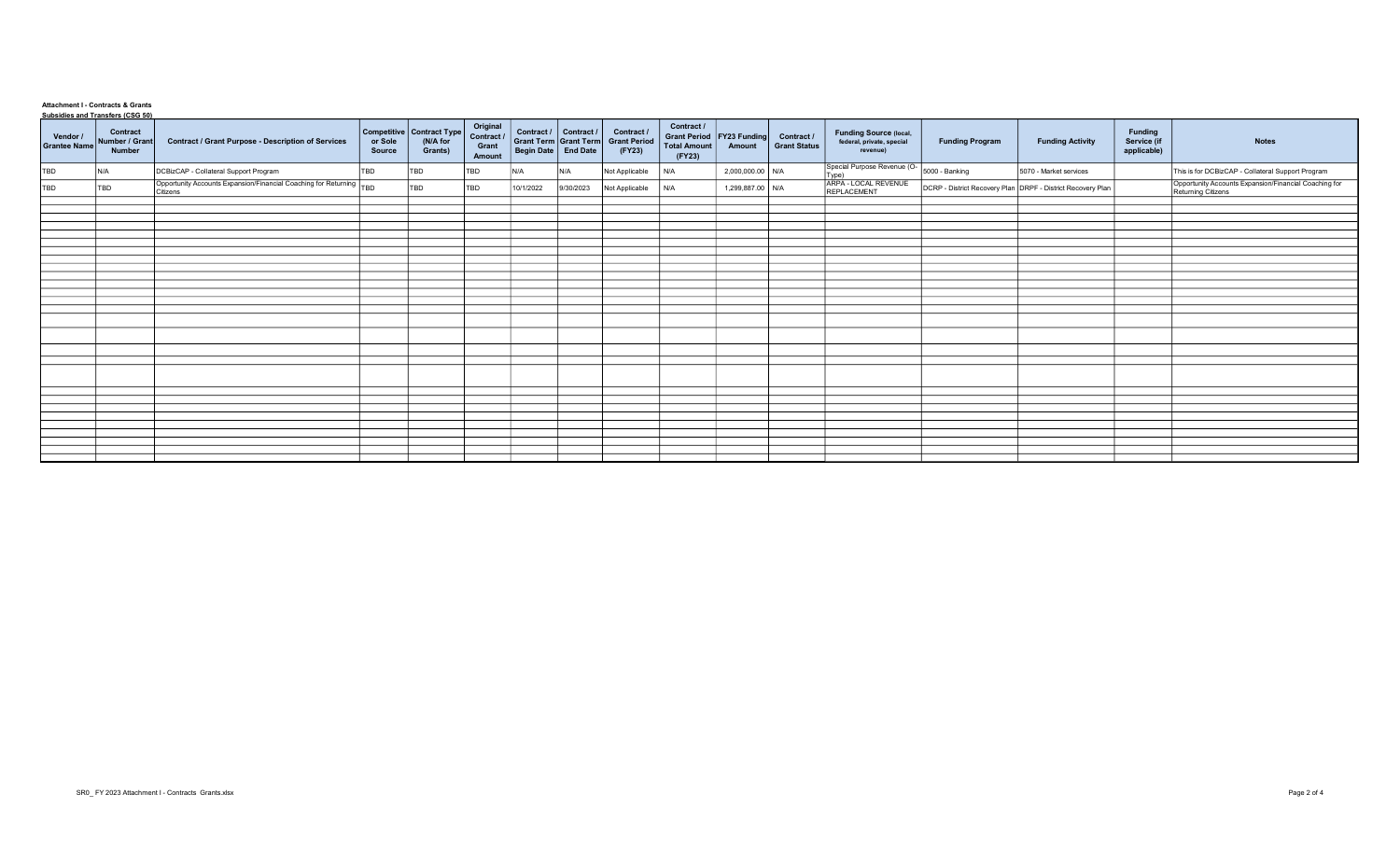## Attachment I - Contracts & Grants Subsidies and Transfers (CSG 50)

| Vendor /<br><b>Grantee Name</b> | <u>Subsidies and Transiers (CSO 30)</u><br>Contract<br>Number / Grant<br>Number | <b>Contract / Grant Purpose - Description of Services</b>                       | or Sole<br>Source | Competitive   Contract Type  <br>(N/A for<br>Grants) | Original<br>Contract /<br>Grant<br>Amount | Grant Term Grant Term<br>Begin Date End Date | Contract / Contract / | Contract /<br><b>Grant Period</b><br>(FY23) | Contract /<br><b>Grant Period</b><br><b>Total Amount</b><br>(FY23) | FY23 Funding<br>Amount | Contract /<br><b>Grant Status</b> | <b>Funding Source (local,</b><br>federal, private, special<br>revenue) | <b>Funding Program</b> | <b>Funding Activity</b>                                     | <b>Funding</b><br>Service (if<br>applicable) | <b>Notes</b>                                                                |
|---------------------------------|---------------------------------------------------------------------------------|---------------------------------------------------------------------------------|-------------------|------------------------------------------------------|-------------------------------------------|----------------------------------------------|-----------------------|---------------------------------------------|--------------------------------------------------------------------|------------------------|-----------------------------------|------------------------------------------------------------------------|------------------------|-------------------------------------------------------------|----------------------------------------------|-----------------------------------------------------------------------------|
| TBD                             | IN/A                                                                            | DCBizCAP - Collateral Support Program                                           | TBD               | TBD                                                  | TBD                                       | N/A                                          | N/A                   | Not Applicable                              | N/A                                                                | 2,000,000.00 N/A       |                                   | Special Purpose Revenue (O-15000 - Banking                             |                        | 5070 - Market services                                      |                                              | This is for DCBizCAP - Collateral Support Program                           |
| TBD                             | TBD                                                                             | Opportunity Accounts Expansion/Financial Coaching for Returning TBD<br>Citizens |                   | TBD                                                  | TBD                                       | 10/1/2022                                    | 9/30/2023             | Not Applicable                              | N/A                                                                | 1,299,887.00 N/A       |                                   | ARPA - LOCAL REVENUE<br>REPLACEMENT                                    |                        | DCRP - District Recovery Plan DRPF - District Recovery Plan |                                              | Opportunity Accounts Expansion/Financial Coaching for<br>Returning Citizens |
|                                 |                                                                                 |                                                                                 |                   |                                                      |                                           |                                              |                       |                                             |                                                                    |                        |                                   |                                                                        |                        |                                                             |                                              |                                                                             |
|                                 |                                                                                 |                                                                                 |                   |                                                      |                                           |                                              |                       |                                             |                                                                    |                        |                                   |                                                                        |                        |                                                             |                                              |                                                                             |
|                                 |                                                                                 |                                                                                 |                   |                                                      |                                           |                                              |                       |                                             |                                                                    |                        |                                   |                                                                        |                        |                                                             |                                              |                                                                             |
|                                 |                                                                                 |                                                                                 |                   |                                                      |                                           |                                              |                       |                                             |                                                                    |                        |                                   |                                                                        |                        |                                                             |                                              |                                                                             |
|                                 |                                                                                 |                                                                                 |                   |                                                      |                                           |                                              |                       |                                             |                                                                    |                        |                                   |                                                                        |                        |                                                             |                                              |                                                                             |
|                                 |                                                                                 |                                                                                 |                   |                                                      |                                           |                                              |                       |                                             |                                                                    |                        |                                   |                                                                        |                        |                                                             |                                              |                                                                             |
|                                 |                                                                                 |                                                                                 |                   |                                                      |                                           |                                              |                       |                                             |                                                                    |                        |                                   |                                                                        |                        |                                                             |                                              |                                                                             |
|                                 |                                                                                 |                                                                                 |                   |                                                      |                                           |                                              |                       |                                             |                                                                    |                        |                                   |                                                                        |                        |                                                             |                                              |                                                                             |
|                                 |                                                                                 |                                                                                 |                   |                                                      |                                           |                                              |                       |                                             |                                                                    |                        |                                   |                                                                        |                        |                                                             |                                              |                                                                             |
|                                 |                                                                                 |                                                                                 |                   |                                                      |                                           |                                              |                       |                                             |                                                                    |                        |                                   |                                                                        |                        |                                                             |                                              |                                                                             |
|                                 |                                                                                 |                                                                                 |                   |                                                      |                                           |                                              |                       |                                             |                                                                    |                        |                                   |                                                                        |                        |                                                             |                                              |                                                                             |
|                                 |                                                                                 |                                                                                 |                   |                                                      |                                           |                                              |                       |                                             |                                                                    |                        |                                   |                                                                        |                        |                                                             |                                              |                                                                             |
|                                 |                                                                                 |                                                                                 |                   |                                                      |                                           |                                              |                       |                                             |                                                                    |                        |                                   |                                                                        |                        |                                                             |                                              |                                                                             |
|                                 |                                                                                 |                                                                                 |                   |                                                      |                                           |                                              |                       |                                             |                                                                    |                        |                                   |                                                                        |                        |                                                             |                                              |                                                                             |
|                                 |                                                                                 |                                                                                 |                   |                                                      |                                           |                                              |                       |                                             |                                                                    |                        |                                   |                                                                        |                        |                                                             |                                              |                                                                             |
|                                 |                                                                                 |                                                                                 |                   |                                                      |                                           |                                              |                       |                                             |                                                                    |                        |                                   |                                                                        |                        |                                                             |                                              |                                                                             |
|                                 |                                                                                 |                                                                                 |                   |                                                      |                                           |                                              |                       |                                             |                                                                    |                        |                                   |                                                                        |                        |                                                             |                                              |                                                                             |
|                                 |                                                                                 |                                                                                 |                   |                                                      |                                           |                                              |                       |                                             |                                                                    |                        |                                   |                                                                        |                        |                                                             |                                              |                                                                             |
|                                 |                                                                                 |                                                                                 |                   |                                                      |                                           |                                              |                       |                                             |                                                                    |                        |                                   |                                                                        |                        |                                                             |                                              |                                                                             |
|                                 |                                                                                 |                                                                                 |                   |                                                      |                                           |                                              |                       |                                             |                                                                    |                        |                                   |                                                                        |                        |                                                             |                                              |                                                                             |
|                                 |                                                                                 |                                                                                 |                   |                                                      |                                           |                                              |                       |                                             |                                                                    |                        |                                   |                                                                        |                        |                                                             |                                              |                                                                             |
|                                 |                                                                                 |                                                                                 |                   |                                                      |                                           |                                              |                       |                                             |                                                                    |                        |                                   |                                                                        |                        |                                                             |                                              |                                                                             |
|                                 |                                                                                 |                                                                                 |                   |                                                      |                                           |                                              |                       |                                             |                                                                    |                        |                                   |                                                                        |                        |                                                             |                                              |                                                                             |
|                                 |                                                                                 |                                                                                 |                   |                                                      |                                           |                                              |                       |                                             |                                                                    |                        |                                   |                                                                        |                        |                                                             |                                              |                                                                             |
|                                 |                                                                                 |                                                                                 |                   |                                                      |                                           |                                              |                       |                                             |                                                                    |                        |                                   |                                                                        |                        |                                                             |                                              |                                                                             |
|                                 |                                                                                 |                                                                                 |                   |                                                      |                                           |                                              |                       |                                             |                                                                    |                        |                                   |                                                                        |                        |                                                             |                                              |                                                                             |
|                                 |                                                                                 |                                                                                 |                   |                                                      |                                           |                                              |                       |                                             |                                                                    |                        |                                   |                                                                        |                        |                                                             |                                              |                                                                             |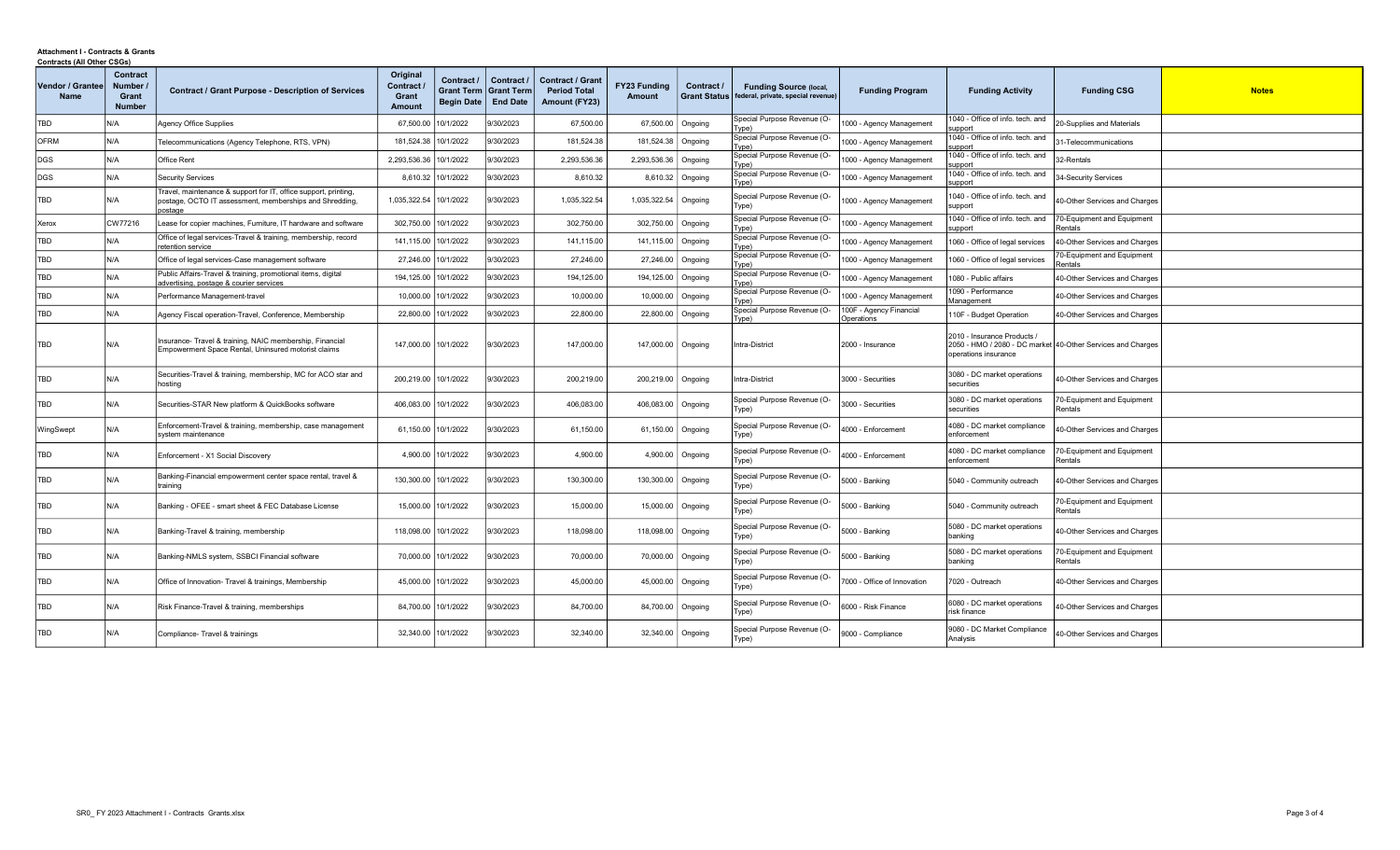## Attachment I - Contracts & Grants Contracts (All Other CSGs)

| Vendor / Grantee<br><b>Name</b> | Contract<br>Number<br>Grant<br><b>Number</b> | <b>Contract / Grant Purpose - Description of Services</b>                                                                             | Original<br>Contract <b>/</b><br>Grant<br><b>Amount</b> | Contract /<br><b>Grant Term</b><br><b>Begin Date</b> | Contract /<br><b>Grant Term</b><br><b>End Date</b> | <b>Contract / Grant</b><br><b>Period Total</b><br>Amount (FY23) | <b>FY23 Funding</b><br>Amount | Contract /<br><b>Grant Status</b> | <b>Funding Source (local,</b><br>federal, private, special revenue) | <b>Funding Program</b>                | <b>Funding Activity</b>                           | <b>Funding CSG</b>                                          | <b>Notes</b> |
|---------------------------------|----------------------------------------------|---------------------------------------------------------------------------------------------------------------------------------------|---------------------------------------------------------|------------------------------------------------------|----------------------------------------------------|-----------------------------------------------------------------|-------------------------------|-----------------------------------|---------------------------------------------------------------------|---------------------------------------|---------------------------------------------------|-------------------------------------------------------------|--------------|
| TBD                             | N/A                                          | <b>Agency Office Supplies</b>                                                                                                         | 67,500.00                                               | 10/1/2022                                            | /30/2023                                           | 67,500.00                                                       | 67,500.00   Ongoing           |                                   | Special Purpose Revenue (O-<br>(Fype                                | 000 - Agency Management               | 040 - Office of info. tech. and<br>upport         | 20-Supplies and Materials                                   |              |
| <b>OFRM</b>                     | N/A                                          | Telecommunications (Agency Telephone, RTS, VPN)                                                                                       | 181,524.38                                              | 10/1/2022                                            | 9/30/2023                                          | 181,524.38                                                      | 181,524.38   Ongoing          |                                   | Special Purpose Revenue (O-<br>(Fype                                | 000 - Agency Management               | 040 - Office of info. tech. and<br>upport         | 31-Telecommunications                                       |              |
| DGS                             | N/A                                          | Office Rent                                                                                                                           | 2,293,536.36                                            | 10/1/2022                                            | 9/30/2023                                          | 2,293,536.36                                                    | 2,293,536.36                  | Ongoing                           | Special Purpose Revenue (O<br>(Fype                                 | 1000 - Agency Management              | 040 - Office of info. tech. and<br>upport         | 32-Rentals                                                  |              |
| DGS                             | N/A                                          | <b>Security Services</b>                                                                                                              |                                                         | 8,610.32 10/1/2022                                   | 9/30/2023                                          | 8.610.32                                                        |                               | 8,610.32   Ongoing                | Special Purpose Revenue (O-<br>(Fype                                | 000 - Agency Management               | 1040 - Office of info. tech. and<br>upport        | 34-Security Services                                        |              |
| <b>TBD</b>                      | N/A                                          | Travel, maintenance & support for IT, office support, printing,<br>postage, OCTO IT assessment, memberships and Shredding,<br>postage | 1,035,322.54 10/1/2022                                  |                                                      | 9/30/2023                                          | 1,035,322.54                                                    | 1,035,322.54 Ongoing          |                                   | Special Purpose Revenue (O-<br>Type)                                | 000 - Agency Management               | 1040 - Office of info. tech. and<br>support       | 40-Other Services and Charges                               |              |
| Xerox                           | CW77216                                      | Lease for copier machines, Furniture, IT hardware and software                                                                        | 302,750.00                                              | 10/1/2022                                            | 9/30/2023                                          | 302,750.00                                                      | 302,750.00   Ongoing          |                                   | Special Purpose Revenue (O-<br>(Type                                | 000 - Agency Management               | 040 - Office of info. tech. and<br>upport         | 70-Equipment and Equipment<br>Rentals                       |              |
| <b>TBD</b>                      | N/A                                          | Office of legal services-Travel & training, membership, record<br>etention service                                                    | 141,115.00                                              | 10/1/2022                                            | 9/30/2023                                          | 141,115.00                                                      | 141,115.00   Ongoing          |                                   | Special Purpose Revenue (O-<br>ype)                                 | 1000 - Agency Management              | 060 - Office of legal services                    | 40-Other Services and Charges                               |              |
| TBD                             | N/A                                          | Office of legal services-Case management software                                                                                     |                                                         | 27,246.00 10/1/2022                                  | 9/30/2023                                          | 27,246.00                                                       | 27,246.00   Ongoing           |                                   | Special Purpose Revenue (O-<br>ype)                                 | 1000 - Agency Management              | 1060 - Office of legal services                   | 70-Equipment and Equipment<br>≷entals                       |              |
| TBD                             | N/A                                          | Public Affairs-Travel & training, promotional items, digital<br>advertising, postage & courier services                               | 194,125.00                                              | 10/1/2022                                            | 9/30/2023                                          | 194,125.00                                                      | 194,125.00                    | Ongoing                           | Special Purpose Revenue (O-<br>(Type                                | 000 - Agency Management               | 080 - Public affairs                              | 40-Other Services and Charges                               |              |
| TBD                             | N/A                                          | Performance Management-travel                                                                                                         | 10,000.00                                               | 10/1/2022                                            | 9/30/2023                                          | 10,000.00                                                       | 10,000.00   Ongoing           |                                   | Special Purpose Revenue (O-<br>(Fype                                | 1000 - Agency Management              | 090 - Performance<br>Management                   | 40-Other Services and Charges                               |              |
| <b>TBD</b>                      | N/A                                          | Agency Fiscal operation-Travel, Conference, Membership                                                                                |                                                         | 22,800.00 10/1/2022                                  | 9/30/2023                                          | 22,800.00                                                       | 22,800.00   Ongoing           |                                   | Special Purpose Revenue (O-<br>ype)                                 | 100F - Agency Financial<br>Dperations | 10F - Budget Operation                            | 40-Other Services and Charges                               |              |
| TBD                             | N/A                                          | Insurance- Travel & training, NAIC membership, Financial<br>Empowerment Space Rental, Uninsured motorist claims                       | 147.000.00 10/1/2022                                    |                                                      | 9/30/2023                                          | 147,000.00                                                      | 147,000.00   Ongoing          |                                   | Intra-District                                                      | 2000 - Insurance                      | 2010 - Insurance Products<br>operations insurance | 2050 - HMO / 2080 - DC market 40-Other Services and Charges |              |
| TBD                             | N/A                                          | Securities-Travel & training, membership, MC for ACO star and<br>hosting                                                              | 200,219.00 10/1/2022                                    |                                                      | 9/30/2023                                          | 200,219.00                                                      | 200,219.00   Ongoing          |                                   | Intra-District                                                      | 3000 - Securities                     | 3080 - DC market operations<br>securities         | 40-Other Services and Charges                               |              |
| TBD                             | N/A                                          | Securities-STAR New platform & QuickBooks software                                                                                    | 406,083.00 10/1/2022                                    |                                                      | 9/30/2023                                          | 406,083.00                                                      | 406,083.00   Ongoing          |                                   | Special Purpose Revenue (O-<br>Type)                                | 3000 - Securities                     | 3080 - DC market operations<br>securities         | 70-Equipment and Equipment<br>Rentals                       |              |
| WingSwept                       | N/A                                          | Enforcement-Travel & training, membership, case management<br>system maintenance                                                      |                                                         | 61,150.00 10/1/2022                                  | 9/30/2023                                          | 61,150.00                                                       | 61,150.00   Ongoing           |                                   | Special Purpose Revenue (O-<br>Type)                                | 4000 - Enforcement                    | 4080 - DC market compliance<br>enforcement        | 40-Other Services and Charges                               |              |
| TBD                             | N/A                                          | Enforcement - X1 Social Discovery                                                                                                     |                                                         | 4,900.00 10/1/2022                                   | 9/30/2023                                          | 4,900.00                                                        |                               | 4,900.00   Ongoing                | Special Purpose Revenue (O-<br>Type)                                | 4000 - Enforcement                    | 4080 - DC market compliance<br>enforcement        | 70-Equipment and Equipment<br>Rentals                       |              |
| TBD                             | N/A                                          | Banking-Financial empowerment center space rental, travel &<br>training                                                               | 130,300.00                                              | 10/1/2022                                            | 9/30/2023                                          | 130,300.00                                                      | 130,300.00   Ongoing          |                                   | Special Purpose Revenue (O-<br>(Fype                                | 5000 - Banking                        | 5040 - Community outreach                         | 40-Other Services and Charges                               |              |
| TBD                             | N/A                                          | Banking - OFEE - smart sheet & FEC Database License                                                                                   |                                                         | 15,000.00 10/1/2022                                  | 9/30/2023                                          | 15,000.00                                                       | 15,000.00   Ongoing           |                                   | Special Purpose Revenue (O-<br>Type)                                | 5000 - Banking                        | 5040 - Community outreach                         | 70-Equipment and Equipment<br>Rentals                       |              |
| TBD                             | N/A                                          | Banking-Travel & training, membership                                                                                                 | 118,098,00 10/1/2022                                    |                                                      | 9/30/2023                                          | 118,098.00                                                      | 118,098.00   Ongoing          |                                   | Special Purpose Revenue (O-<br>Type)                                | 5000 - Banking                        | 5080 - DC market operations<br>banking            | 40-Other Services and Charges                               |              |
| TBD                             | N/A                                          | Banking-NMLS system, SSBCI Financial software                                                                                         | 70,000.00                                               | 10/1/2022                                            | 9/30/2023                                          | 70,000.00                                                       | 70,000.00   Ongoing           |                                   | Special Purpose Revenue (O-<br>Type)                                | 5000 - Banking                        | 5080 - DC market operations<br>banking            | 70-Equipment and Equipment<br>Rentals                       |              |
| TBD                             | N/A                                          | Office of Innovation- Travel & trainings, Membership                                                                                  | 45,000.00                                               | 10/1/2022                                            | 9/30/2023                                          | 45,000.00                                                       | 45,000.00   Ongoing           |                                   | Special Purpose Revenue (O-<br>Type)                                | 7000 - Office of Innovation           | 7020 - Outreach                                   | 40-Other Services and Charges                               |              |
| TBD                             | N/A                                          | Risk Finance-Travel & training, memberships                                                                                           |                                                         | 84,700.00 10/1/2022                                  | 9/30/2023                                          | 84,700.00                                                       | 84,700.00   Ongoing           |                                   | Special Purpose Revenue (O-<br>Type)                                | 6000 - Risk Finance                   | 6080 - DC market operations<br>risk finance       | 40-Other Services and Charges                               |              |
| TBD                             | N/A                                          | Compliance- Travel & trainings                                                                                                        |                                                         | 32,340.00 10/1/2022                                  | 9/30/2023                                          | 32,340.00                                                       | 32,340.00   Ongoing           |                                   | Special Purpose Revenue (O-<br>Type)                                | 9000 - Compliance                     | 9080 - DC Market Compliance<br>Analysis           | 40-Other Services and Charges                               |              |